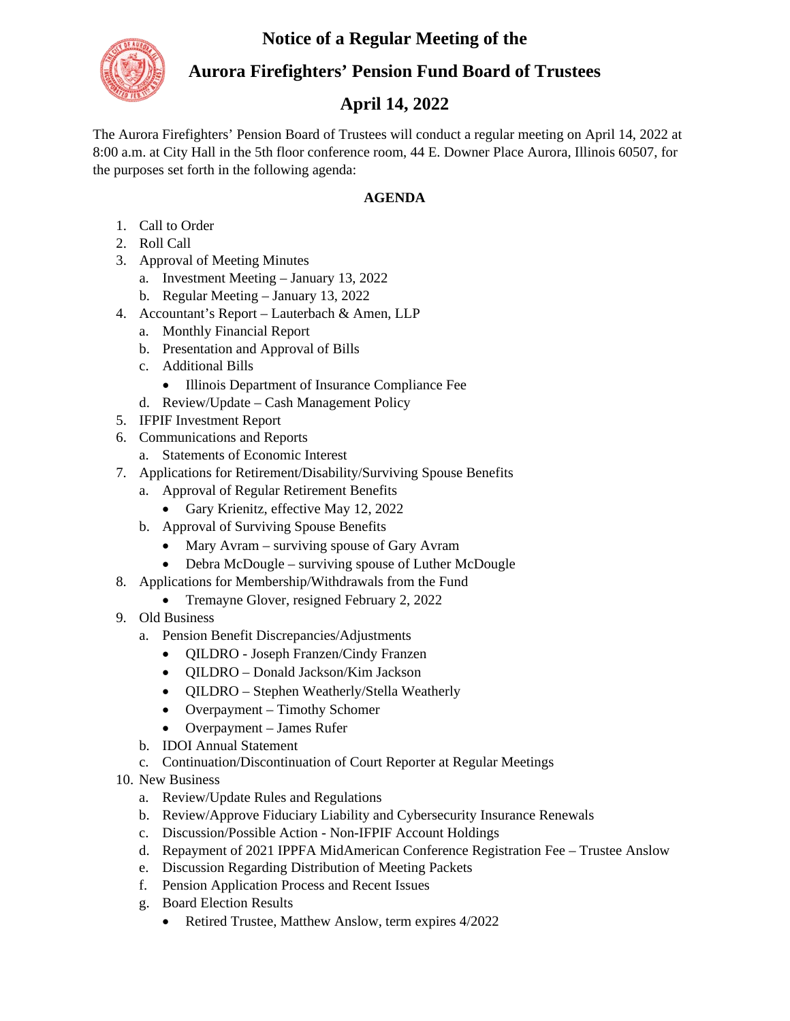## **Notice of a Regular Meeting of the**



## **Aurora Firefighters' Pension Fund Board of Trustees**

## **April 14, 2022**

The Aurora Firefighters' Pension Board of Trustees will conduct a regular meeting on April 14, 2022 at 8:00 a.m. at City Hall in the 5th floor conference room, 44 E. Downer Place Aurora, Illinois 60507, for the purposes set forth in the following agenda:

## **AGENDA**

- 1. Call to Order
- 2. Roll Call
- 3. Approval of Meeting Minutes
	- a. Investment Meeting January 13, 2022
	- b. Regular Meeting January 13, 2022
- 4. Accountant's Report Lauterbach & Amen, LLP
	- a. Monthly Financial Report
	- b. Presentation and Approval of Bills
	- c. Additional Bills
		- Illinois Department of Insurance Compliance Fee
	- d. Review/Update Cash Management Policy
- 5. IFPIF Investment Report
- 6. Communications and Reports
	- a. Statements of Economic Interest
- 7. Applications for Retirement/Disability/Surviving Spouse Benefits
	- a. Approval of Regular Retirement Benefits
		- Gary Krienitz, effective May 12, 2022
	- b. Approval of Surviving Spouse Benefits
		- Mary Avram surviving spouse of Gary Avram
		- Debra McDougle surviving spouse of Luther McDougle
- 8. Applications for Membership/Withdrawals from the Fund
	- Tremayne Glover, resigned February 2, 2022
- 9. Old Business
	- a. Pension Benefit Discrepancies/Adjustments
		- QILDRO Joseph Franzen/Cindy Franzen
		- QILDRO Donald Jackson/Kim Jackson
		- QILDRO Stephen Weatherly/Stella Weatherly
		- Overpayment Timothy Schomer
		- Overpayment James Rufer
	- b. IDOI Annual Statement
	- c. Continuation/Discontinuation of Court Reporter at Regular Meetings
- 10. New Business
	- a. Review/Update Rules and Regulations
	- b. Review/Approve Fiduciary Liability and Cybersecurity Insurance Renewals
	- c. Discussion/Possible Action Non-IFPIF Account Holdings
	- d. Repayment of 2021 IPPFA MidAmerican Conference Registration Fee Trustee Anslow
	- e. Discussion Regarding Distribution of Meeting Packets
	- f. Pension Application Process and Recent Issues
	- g. Board Election Results
		- Retired Trustee, Matthew Anslow, term expires 4/2022